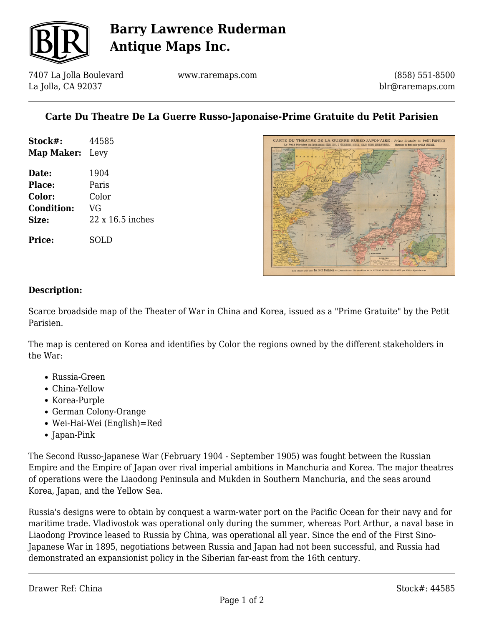

# **Barry Lawrence Ruderman Antique Maps Inc.**

7407 La Jolla Boulevard La Jolla, CA 92037

www.raremaps.com

(858) 551-8500 blr@raremaps.com

## **Carte Du Theatre De La Guerre Russo-Japonaise-Prime Gratuite du Petit Parisien**

| Stock#:<br><b>Map Maker:</b> Levy | 44585                   |
|-----------------------------------|-------------------------|
|                                   |                         |
| <b>Place:</b>                     | Paris                   |
| <b>Color:</b>                     | Color                   |
| <b>Condition:</b>                 | VG                      |
| Size:                             | $22 \times 16.5$ inches |
|                                   |                         |

**Price:** SOLD



#### **Description:**

Scarce broadside map of the Theater of War in China and Korea, issued as a "Prime Gratuite" by the Petit Parisien.

The map is centered on Korea and identifies by Color the regions owned by the different stakeholders in the War:

- Russia-Green
- China-Yellow
- Korea-Purple
- German Colony-Orange
- Wei-Hai-Wei (English)=Red
- Japan-Pink

The Second Russo-Japanese War (February 1904 - September 1905) was fought between the Russian Empire and the Empire of Japan over rival imperial ambitions in Manchuria and Korea. The major theatres of operations were the Liaodong Peninsula and Mukden in Southern Manchuria, and the seas around Korea, Japan, and the Yellow Sea.

Russia's designs were to obtain by conquest a warm-water port on the Pacific Ocean for their navy and for maritime trade. Vladivostok was operational only during the summer, whereas Port Arthur, a naval base in Liaodong Province leased to Russia by China, was operational all year. Since the end of the First Sino-Japanese War in 1895, negotiations between Russia and Japan had not been successful, and Russia had demonstrated an expansionist policy in the Siberian far-east from the 16th century.